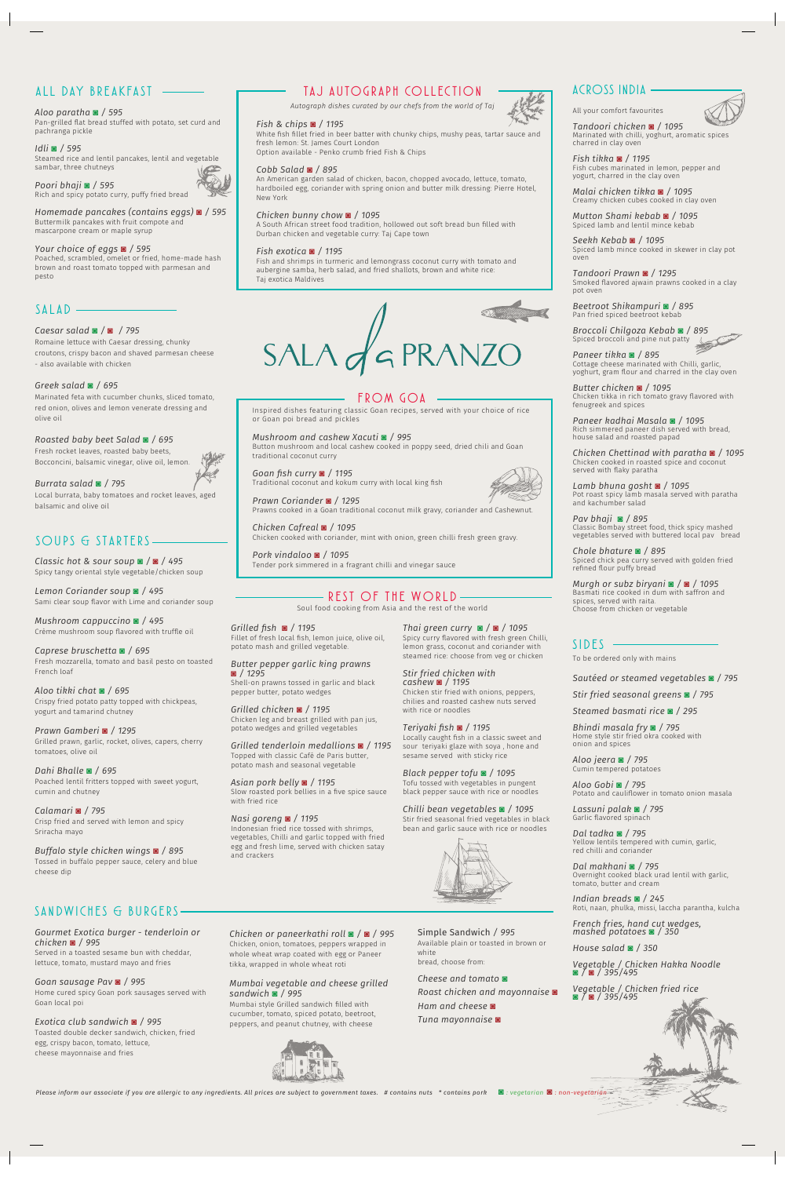# *ALL D AY B REA K FAST*

### *FROM GOA*

# *TA J A U TOG RAP H CO LLE C TI O N*

*Autograph dishes curated by our chefs from the world of Taj*

*SA N DWI C H ES & BURGERS*

*ACROSS INDIA*

#### *Aloo paratha* **◙** */ 595*

Pan-grilled flat bread stuffed with potato, set curd and pachranga pickle

*Idli* **◙** */ 595* Steamed rice and lentil pancakes, lentil and vegetable sambar, three chutneys

*Poori bhaji* **◙** */ 595* Rich and spicy potato curry, puffy fried bread



*Homemade pancakes (contains eggs)* **◙** */ 595* Buttermilk pancakes with fruit compote and mascarpone cream or maple syrup

#### *Your choice of eggs* **◙** */ 595*

Poached, scrambled, omelet or fried, home-made hash brown and roast tomato topped with parmesan and pesto

All your comfort favourites

*Tandoori chicken* **◙** */ 1095* Marinated with chilli, yoghurt, aromatic spices charred in clay oven

*Fish tikka* **◙** */ 1195* Fish cubes marinated in lemon, pepper and yogurt, charred in the clay oven

*Malai chicken tikka* **◙** */ 1095* Creamy chicken cubes cooked in clay oven

*Mutton Shami kebab* **◙** */ 1095* Spiced lamb and lentil mince kebab

*Seekh Kebab* **◙** */ 1095* Spiced lamb mince cooked in skewer in clay pot oven

*Tandoori Prawn* **◙** */ 1295* Smoked flavored ajwain prawns cooked in a clay pot oven

*Beetroot Shikampuri* **◙** */ 895* Pan fried spiced beetroot kebab

*Broccoli Chilgoza Kebab* **◙** */ 895* Spiced broccoli and pine nut patty

*Paneer tikka* **◙** */ 895* Cottage cheese marinated with Chilli, garlic, yoghurt, gram flour and charred in the clay oven

*Butter chicken* **◙** */ 1095* Chicken tikka in rich tomato gravy flavored with fenugreek and spices

*Paneer kadhai Masala* **◙** */ 1095* Rich simmered paneer dish served with bread, house salad and roasted papad

*Chicken Chettinad with paratha* **◙** */ 1095* Chicken cooked in roasted spice and coconut served with flaky paratha

*Lamb bhuna gosht* **◙** */ 1095* Pot roast spicy lamb masala served with paratha and kachumber salad

*Pav bhaji* **◙** */ 895* Classic Bombay street food, thick spicy mashed vegetables served with buttered local pav bread

*Chole bhature* **◙** */ 895* Spiced chick pea curry served with golden fried refined flour puffy bread

*Murgh or subz biryani* **◙** */* **◙** */ 1095* Basmati rice cooked in dum with saffron and spices, served with raita. Choose from chicken or vegetable

#### *Fish & chips* **◙** */ 1195*

White fish fillet fried in beer batter with chunky chips, mushy peas, tartar sauce and fresh lemon: St. James Court London

Option available - Penko crumb fried Fish & Chips

#### *Cobb Salad* **◙** */ 895*

An American garden salad of chicken, bacon, chopped avocado, lettuce, tomato, hardboiled egg, coriander with spring onion and butter milk dressing: Pierre Hotel, New York

#### *Chicken bunny chow* **◙** */ 1095*

A South African street food tradition, hollowed out soft bread bun filled with Durban chicken and vegetable curry: Taj Cape town

#### *Fish exotica* **◙** */ 1195*

Fish and shrimps in turmeric and lemongrass coconut curry with tomato and aubergine samba, herb salad, and fried shallots, brown and white rice: Taj exotica Maldives



# *SOUPS & STARTERS*

*Classic hot & sour soup* **◙** */* **◙** */ 495* Spicy tangy oriental style vegetable/chicken soup

*Lemon Coriander soup* **◙** */ 495* Sami clear soup flavor with Lime and coriander soup

*Mushroom cappuccino* **◙** */ 495* Crème mushroom soup flavored with truffle oil

*Caprese bruschetta* **◙** */ 695* Fresh mozzarella, tomato and basil pesto on toasted French loaf

*Aloo tikki chat* **◙** */ 695* Crispy fried potato patty topped with chickpeas, yogurt and tamarind chutney

*Prawn Gamberi* **◙** */ 1295* Grilled prawn, garlic, rocket, olives, capers, cherry tomatoes, olive oil

*Dahi Bhalle* **◙** */ 695* Poached lentil fritters topped with sweet yogurt, cumin and chutney

#### *Calamari* **◙** */ 795*

Crisp fried and served with lemon and spicy Sriracha mayo

*Buffalo style chicken wings* **◙** */ 895* Tossed in buffalo pepper sauce, celery and blue cheese dip

*Gourmet Exotica burger - tenderloin or chicken* **◙** */ 995*

Served in a toasted sesame bun with cheddar, lettuce, tomato, mustard mayo and fries

#### *Goan sausage Pav* **◙** */ 995*

Home cured spicy Goan pork sausages served with Goan local poi

#### *Exotica club sandwich* **◙** */ 995*

Toasted double decker sandwich, chicken, fried egg, crispy bacon, tomato, lettuce, cheese mayonnaise and fries

*Chicken or paneerkathi roll* **◙** */* **◙** */ 995* Chicken, onion, tomatoes, peppers wrapped in whole wheat wrap coated with egg or Paneer tikka, wrapped in whole wheat roti

#### *Mumbai vegetable and cheese grilled sandwich* **◙** */ 995*

Mumbai style Grilled sandwich filled with cucumber, tomato, spiced potato, beetroot, peppers, and peanut chutney, with cheese



Please inform our associate if you are allergic to any ingredients. All prices are subject to government taxes. # contains nuts \* contains pork ■ : vegetarian ■ : non-vegetarian

# *REST OF THE WORLD*

Soul food cooking from Asia and the rest of the world

*Grilled fish* **◙** */ 1195* Fillet of fresh local fish, lemon juice, olive oil, potato mash and grilled vegetable.

*Butter pepper garlic king prawns*  **◙** */ 1295* Shell-on prawns tossed in garlic and black pepper butter, potato wedges

*Grilled chicken* **◙** */ 1195* Chicken leg and breast grilled with pan jus, potato wedges and grilled vegetables

*Grilled tenderloin medallions* **◙** */ 1195* Topped with classic Café de Paris butter, potato mash and seasonal vegetable

*Asian pork belly* **◙** */ 1195* Slow roasted pork bellies in a five spice sauce with fried rice

#### *Nasi goreng* **◙** */ 1195*

Indonesian fried rice tossed with shrimps, vegetables, Chilli and garlic topped with fried egg and fresh lime, served with chicken satay and crackers

*Thai green curry* **◙** */* **◙** */ 1095* Spicy curry flavored with fresh green Chilli, lemon grass, coconut and coriander with steamed rice: choose from veg or chicken

*Stir fried chicken with cashew* **◙** */ 1195*

Chicken stir fried with onions, peppers, chilies and roasted cashew nuts served

with rice or noodles



*Teriyaki fish* **◙** */ 1195*

Locally caught fish in a classic sweet and sour teriyaki glaze with soya , hone and sesame served with sticky rice

*Black pepper tofu* **◙** */ 1095* Tofu tossed with vegetables in pungent black pepper sauce with rice or noodles *Chilli bean vegetables* **◙** */ 1095*

Stir fried seasonal fried vegetables in black bean and garlic sauce with rice or noodles

Inspired dishes featuring classic Goan recipes, served with your choice of rice or Goan poi bread and pickles

*Mushroom and cashew Xacuti* **◙** */ 995* Button mushroom and local cashew cooked in poppy seed, dried chili and Goan traditional coconut curry

*Goan fish curry* **◙** */ 1195* Traditional coconut and kokum curry with local king fish

*Prawn Coriander* **◙** */ 1295*

# Prawns cooked in a Goan traditional coconut milk gravy, coriander and Cashewnut.

*Chicken Cafreal* **◙** */ 1095* Chicken cooked with coriander, mint with onion, green chilli fresh green gravy.

*Pork vindaloo* **◙** */ 1095* Tender pork simmered in a fragrant chilli and vinegar sauce

## *SIDES*

*Sautéed or steamed vegetables* **◙** */ 795*

*Stir fried seasonal greens* **◙** */ 795*

*Steamed basmati rice* **◙** */ 295*

*Bhindi masala fry* **◙** */ 795* Home style stir fried okra cooked with onion and spices

*Aloo jeera* **◙** */ 795* Cumin tempered potatoes

*Aloo Gobi* **◙** */ 795* Potato and cauliflower in tomato onion masala

*Lassuni palak* **◙** */ 795* Garlic flavored spinach



*Dal tadka* **◙** */ 795*

Yellow lentils tempered with cumin, garlic, red chilli and coriander

#### *Dal makhani* **◙** */ 795*

Overnight cooked black urad lentil with garlic, tomato, butter and cream

*Indian breads* **◙** */ 245* Roti, naan, phulka, missi, laccha parantha, kulcha

*French fries, hand cut wedges, mashed potatoes* **◙** */ 350*

*House salad* **◙** */ 350*

*Vegetable / Chicken Hakka Noodle* **◙** */* **◙** */ 395/495*

*Vegetable / Chicken fried rice* **◙** */* **◙** */ 395/495*

### *SALAD*

#### *Caesar salad* **◙** */* **◙** */ 795*

Romaine lettuce with Caesar dressing, chunky croutons, crispy bacon and shaved parmesan cheese - also available with chicken

#### *Greek salad* **◙** */ 695*

Marinated feta with cucumber chunks, sliced tomato, red onion, olives and lemon venerate dressing and olive oil

*Roasted baby beet Salad* **◙** */ 695*

Fresh rocket leaves, roasted baby beets, Bocconcini, balsamic vinegar, olive oil, lemon.

*Burrata salad* **◙** */ 795* Local burrata, baby tomatoes and rocket leaves, aged balsamic and olive oil

Simple Sandwich */ 995*

Available plain or toasted in brown or

white

bread, choose from:

*Cheese and tomato* **◙** 

*Roast chicken and mayonnaise* **◙**

*Ham and cheese* **◙** *Tuna mayonnaise* **◙** To be ordered only with mains